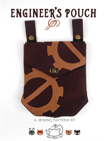# engineer' s pouch

### **a sewing pattern by**

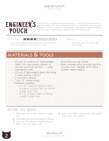

This pouch is a steampunk-inspired project, something that would be a great accessory with any steampunk outfit. It snaps onto one's belt, and includes a turnlock closure. It also features optional gear applique motifs, and has a bit of depth from a gusset sewn into the bottom.

#### $D$ IFFICULTY:  $\Box$  $\Box$

It's a small, straightforward project, but the gusset and turn-lock might give newbies a bit of trouble.

makes:

one pouch that is 8" wide, 9" tall, and 2" deep

## **materials & tools**

| . 1/3 yd. of medium to heavyweight         |                                                  | • Matching sewing thread              |
|--------------------------------------------|--------------------------------------------------|---------------------------------------|
| fabric for main pouch (denim or            |                                                  | · Basic sewing tools (sewing machine, |
| canvas would be perfect - I used           |                                                  | scissors, iron, needles, pins, fabric |
| interfaced twill)                          |                                                  | marker, seam ripper)                  |
| · 1/3 yd. of lightweight fabric for lining |                                                  |                                       |
| (I used quilting cotton)                   |                                                  |                                       |
| · I" turn-lock closure                     |                                                  |                                       |
| · Two 1/2" metal snaps                     |                                                  |                                       |
| · Appliqué supplies:                       |                                                  |                                       |
|                                            | · 8" x 15" scrap of appliqué fabric              |                                       |
|                                            | for gears (cotton, felt, or flannel              |                                       |
| would work fine)                           |                                                  |                                       |
|                                            | $\cdot$ 8" $\times$ 15" scrap of light or heavy- |                                       |
| weight fusible web                         |                                                  |                                       |
|                                            |                                                  |                                       |
|                                            |                                                  |                                       |
|                                            |                                                  |                                       |

#### **before you begin:**

- **1.** Print out the project pattern, pages  $11-1/1$
- **2.** Assemble the printed pattern pieces
- **3.** Lay out the pattern pieces on your fabric and cut them out
- **4.** Mark the fabric pieces with the guidelines from the pattern

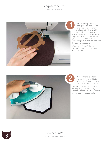

First up is appliquéing the gears on the pouch and flap. I ironed them in place with lightweight fusible web and sewed them with a zigzag stitch around the edges according to the pattern guidelines, but you could also use heavyweight fusible web and skip the sewing altogether. First up is appliquéir<br>the gears on the po<br>and flap. I ironed the<br>in place with lightweig<br>fusible web and sewed t<br>with a zigzag stitch aroun<br>edges according to the pa<br>guidelines, but you could a<br>he sewing altogether.<br>After

After this, trim off the excess appliqué fabric that's hanging over the edge.



If your fabric is a little flimsy like mine, this is where you'll want to fuse the interfacing to the back.

I opted for some fusible quilt batting to get the stability I I wanted. I trimmed off the seam

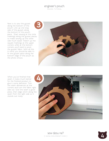Next is to sew the gusset along the bottom of the pouch. Line up one long side of the gusset along the bottom of the pouch piece. Start sewing at the circle markings along the gusset pieces to make sewing up the other side much easier. Match up the square markings at the upper corners while at the bottom corners you'll need to pivot the gusset fabric. With all this in mind, you should be able to fit the gusset piece along the bottom edge of the pouch as the photo shows.



When you've finished that seam, it looks much better for the finished product to give it some definition. Trim the seam allowances at the corners and turn the fabric right side out. Give the seam a good press, then edge stitch along the seam from the right side so it stands out nicely.

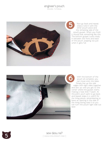

Now go back and repeat steps 2 and 3 with the other pouch piece and the remaining side of the pouch gusset. When you finish it should look something like this. The bottom gusset tucks nicely in between the front and back of the pouch, popping out just when it gets full.



With the bottom of the pouch all complete, you can move onto the sides. Simply line up the side edges with right sides together and sew up until you get to the corner where the gusset starts, making a neat little Y-seam. At this point you'll want to go back and repeat steps 2, 4, and 5 for the lining pieces, remembering to leave an opening in the side of the lining during step 5 so you can turn the pouch right side out later.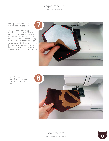Next up is the flap :D As you can see, I fused some fleece interfacing to one of my flap pieces, but that's completely up to you. To get the flap done, simply layer the two pieces together with right sides facing and sew them along the sides and bottom, leaving the top straight edge free for turning the flap right side out. Then, trim the seam allowances, turn the flap right side out, and iron it nice and flat.



I did a little edge stitch around the bottom edge of my flap so it stays looking crisp ^-^



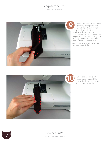

Next I did the straps, which are very straightforward. Simply fold them in half with right sides together and sew down one edge and along the pointed end. Leave the straight end open for turning the strap right side out. Then you'll want to trim the seam allowances, turn the strap right side out, and press it flat.



Once again, I did a little edge stitch around the turned edge of my strap so it looks pretty :D



**7** sew desu ne?<br>
I www.cholyknight.co | www.cholyknight.com |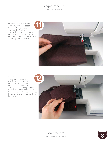With your flap and straps done, you can now baste them to the top edge of your pouch. You'll want to start with the straps – baste the raw end to the top edge of the pouch back piece where the pattern guidelines indicate.



With all the extra stuff basted on, you can then sew the top seam of your pouch. Nestle your main pouch into the pouch lining with right sides facing and line up the top raw edge. Then sew all the way around the perimeter so the opening is all joined up like in the photo.



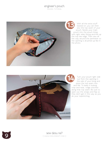

With all the extra stuff basted on, you can then sew the top seam of your pouch. Nestle your main pouch into the pouch lining with right sides facing and line up the top raw edge. Then sew all the way around the perimeter so the opening is all joined up like in the photo.



Turn your pouch right side out from the opening in the side of your lining and press the top seam nice and flat. To keep it looking crisp and neat, I edge stitched along that top seam. Be sure to open out the straps and flap so they don't get in the way as you do your topstitching.

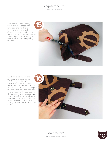Your pouch is now pretty much done! All that's left is to add the hardware. First up is the turn-lock closure. Install the lock part of the turn-lock on the pouch front according to the pattern guidelines, then install the opening on the flap.



Lastly you can install the snaps on the strap parts ^-^ To get the right placement, you'll want to install the socket end on the bottom front of the straps, the prong on the top front, and the cap part of the snap on the top back of the straps. This will ensure that your straps fold over and snap together correctly with the cap facing outward. Now go suit up with your tools because YOU'RE DONE!





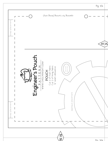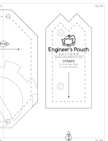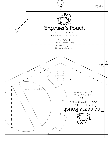